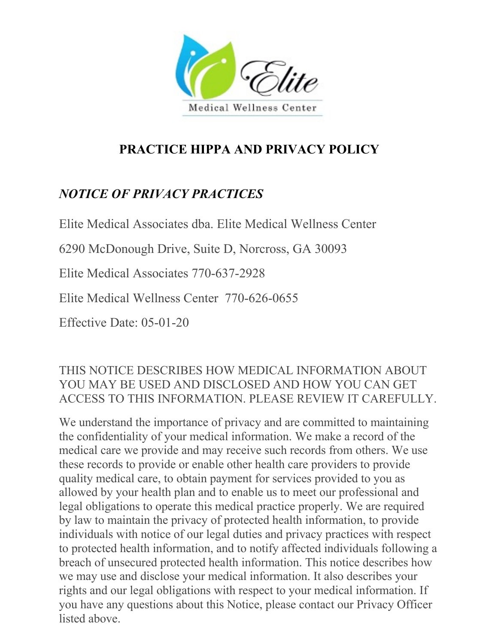

# **PRACTICE HIPPA AND PRIVACY POLICY**

# *NOTICE OF PRIVACY PRACTICES*

Elite Medical Associates dba. Elite Medical Wellness Center

6290 McDonough Drive, Suite D, Norcross, GA 30093

Elite Medical Associates 770-637-2928

Elite Medical Wellness Center 770-626-0655

Effective Date: 05-01-20

### THIS NOTICE DESCRIBES HOW MEDICAL INFORMATION ABOUT YOU MAY BE USED AND DISCLOSED AND HOW YOU CAN GET ACCESS TO THIS INFORMATION. PLEASE REVIEW IT CAREFULLY.

We understand the importance of privacy and are committed to maintaining the confidentiality of your medical information. We make a record of the medical care we provide and may receive such records from others. We use these records to provide or enable other health care providers to provide quality medical care, to obtain payment for services provided to you as allowed by your health plan and to enable us to meet our professional and legal obligations to operate this medical practice properly. We are required by law to maintain the privacy of protected health information, to provide individuals with notice of our legal duties and privacy practices with respect to protected health information, and to notify affected individuals following a breach of unsecured protected health information. This notice describes how we may use and disclose your medical information. It also describes your rights and our legal obligations with respect to your medical information. If you have any questions about this Notice, please contact our Privacy Officer listed above.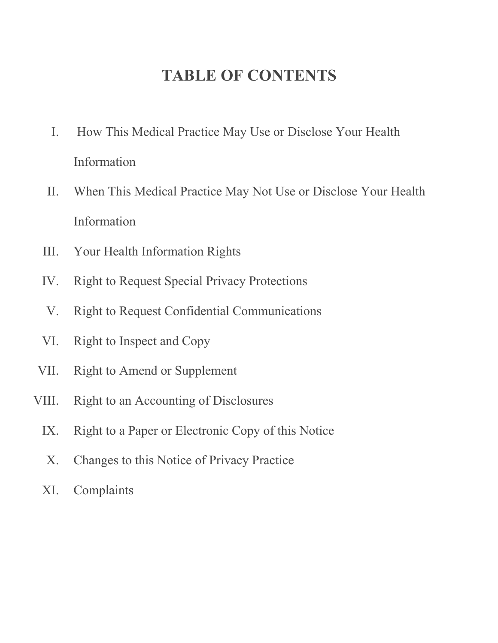# **TABLE OF CONTENTS**

- I. How This Medical Practice May Use or Disclose Your Health Information
- II. When This Medical Practice May Not Use or Disclose Your Health Information
- III. Your Health Information Rights
- IV. Right to Request Special Privacy Protections
- V. Right to Request Confidential Communications
- VI. Right to Inspect and Copy
- VII. Right to Amend or Supplement
- VIII. Right to an Accounting of Disclosures
	- IX. Right to a Paper or Electronic Copy of this Notice
	- X. Changes to this Notice of Privacy Practice
	- XI. Complaints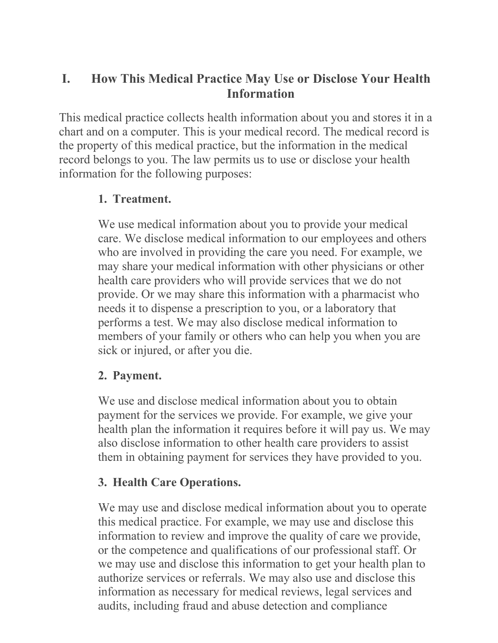### **I. How This Medical Practice May Use or Disclose Your Health Information**

This medical practice collects health information about you and stores it in a chart and on a computer. This is your medical record. The medical record is the property of this medical practice, but the information in the medical record belongs to you. The law permits us to use or disclose your health information for the following purposes:

#### **1. Treatment.**

We use medical information about you to provide your medical care. We disclose medical information to our employees and others who are involved in providing the care you need. For example, we may share your medical information with other physicians or other health care providers who will provide services that we do not provide. Or we may share this information with a pharmacist who needs it to dispense a prescription to you, or a laboratory that performs a test. We may also disclose medical information to members of your family or others who can help you when you are sick or injured, or after you die.

#### **2. Payment.**

We use and disclose medical information about you to obtain payment for the services we provide. For example, we give your health plan the information it requires before it will pay us. We may also disclose information to other health care providers to assist them in obtaining payment for services they have provided to you.

### **3. Health Care Operations.**

We may use and disclose medical information about you to operate this medical practice. For example, we may use and disclose this information to review and improve the quality of care we provide, or the competence and qualifications of our professional staff. Or we may use and disclose this information to get your health plan to authorize services or referrals. We may also use and disclose this information as necessary for medical reviews, legal services and audits, including fraud and abuse detection and compliance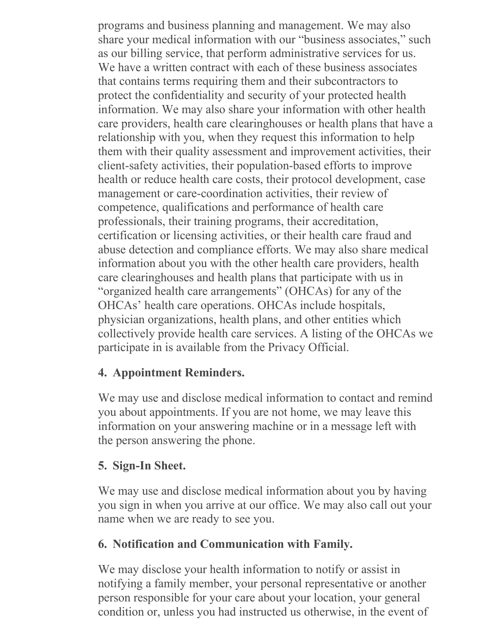programs and business planning and management. We may also share your medical information with our "business associates," such as our billing service, that perform administrative services for us. We have a written contract with each of these business associates that contains terms requiring them and their subcontractors to protect the confidentiality and security of your protected health information. We may also share your information with other health care providers, health care clearinghouses or health plans that have a relationship with you, when they request this information to help them with their quality assessment and improvement activities, their client-safety activities, their population-based efforts to improve health or reduce health care costs, their protocol development, case management or care-coordination activities, their review of competence, qualifications and performance of health care professionals, their training programs, their accreditation, certification or licensing activities, or their health care fraud and abuse detection and compliance efforts. We may also share medical information about you with the other health care providers, health care clearinghouses and health plans that participate with us in "organized health care arrangements" (OHCAs) for any of the OHCAs' health care operations. OHCAs include hospitals, physician organizations, health plans, and other entities which collectively provide health care services. A listing of the OHCAs we participate in is available from the Privacy Official.

### **4. Appointment Reminders.**

We may use and disclose medical information to contact and remind you about appointments. If you are not home, we may leave this information on your answering machine or in a message left with the person answering the phone.

### **5. Sign-In Sheet.**

We may use and disclose medical information about you by having you sign in when you arrive at our office. We may also call out your name when we are ready to see you.

### **6. Notification and Communication with Family.**

We may disclose your health information to notify or assist in notifying a family member, your personal representative or another person responsible for your care about your location, your general condition or, unless you had instructed us otherwise, in the event of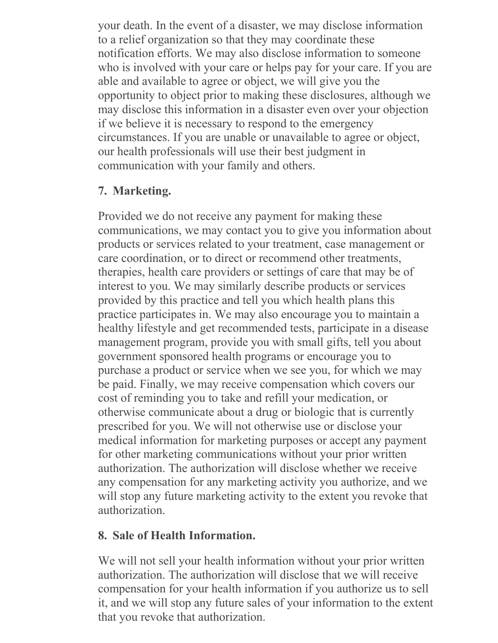your death. In the event of a disaster, we may disclose information to a relief organization so that they may coordinate these notification efforts. We may also disclose information to someone who is involved with your care or helps pay for your care. If you are able and available to agree or object, we will give you the opportunity to object prior to making these disclosures, although we may disclose this information in a disaster even over your objection if we believe it is necessary to respond to the emergency circumstances. If you are unable or unavailable to agree or object, our health professionals will use their best judgment in communication with your family and others.

#### **7. Marketing.**

Provided we do not receive any payment for making these communications, we may contact you to give you information about products or services related to your treatment, case management or care coordination, or to direct or recommend other treatments, therapies, health care providers or settings of care that may be of interest to you. We may similarly describe products or services provided by this practice and tell you which health plans this practice participates in. We may also encourage you to maintain a healthy lifestyle and get recommended tests, participate in a disease management program, provide you with small gifts, tell you about government sponsored health programs or encourage you to purchase a product or service when we see you, for which we may be paid. Finally, we may receive compensation which covers our cost of reminding you to take and refill your medication, or otherwise communicate about a drug or biologic that is currently prescribed for you. We will not otherwise use or disclose your medical information for marketing purposes or accept any payment for other marketing communications without your prior written authorization. The authorization will disclose whether we receive any compensation for any marketing activity you authorize, and we will stop any future marketing activity to the extent you revoke that authorization.

#### **8. Sale of Health Information.**

We will not sell your health information without your prior written authorization. The authorization will disclose that we will receive compensation for your health information if you authorize us to sell it, and we will stop any future sales of your information to the extent that you revoke that authorization.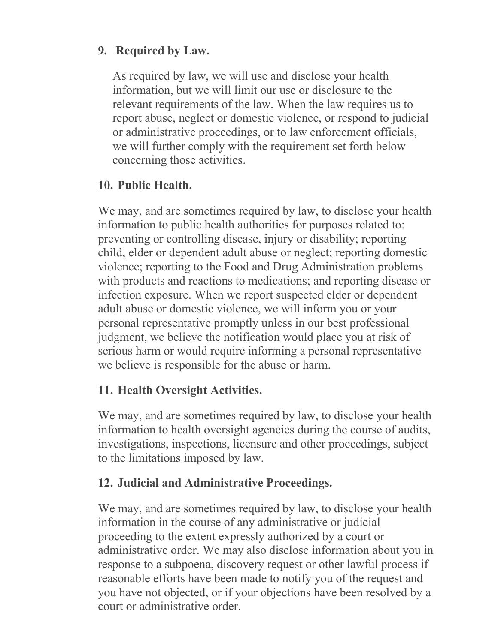### **9. Required by Law.**

As required by law, we will use and disclose your health information, but we will limit our use or disclosure to the relevant requirements of the law. When the law requires us to report abuse, neglect or domestic violence, or respond to judicial or administrative proceedings, or to law enforcement officials, we will further comply with the requirement set forth below concerning those activities.

### **10. Public Health.**

We may, and are sometimes required by law, to disclose your health information to public health authorities for purposes related to: preventing or controlling disease, injury or disability; reporting child, elder or dependent adult abuse or neglect; reporting domestic violence; reporting to the Food and Drug Administration problems with products and reactions to medications; and reporting disease or infection exposure. When we report suspected elder or dependent adult abuse or domestic violence, we will inform you or your personal representative promptly unless in our best professional judgment, we believe the notification would place you at risk of serious harm or would require informing a personal representative we believe is responsible for the abuse or harm.

### **11. Health Oversight Activities.**

We may, and are sometimes required by law, to disclose your health information to health oversight agencies during the course of audits, investigations, inspections, licensure and other proceedings, subject to the limitations imposed by law.

### **12. Judicial and Administrative Proceedings.**

We may, and are sometimes required by law, to disclose your health information in the course of any administrative or judicial proceeding to the extent expressly authorized by a court or administrative order. We may also disclose information about you in response to a subpoena, discovery request or other lawful process if reasonable efforts have been made to notify you of the request and you have not objected, or if your objections have been resolved by a court or administrative order.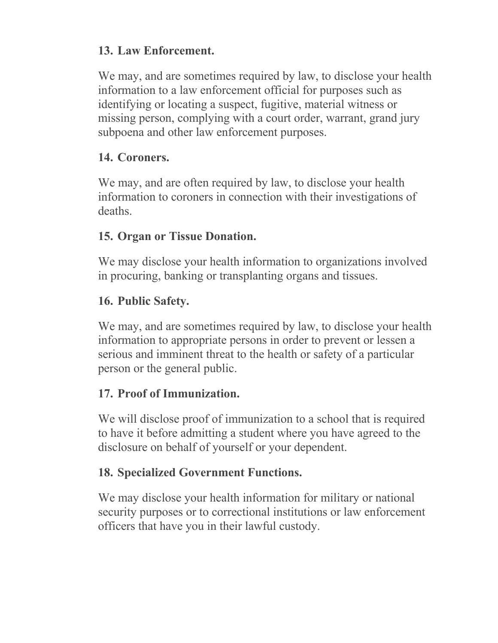### **13. Law Enforcement.**

We may, and are sometimes required by law, to disclose your health information to a law enforcement official for purposes such as identifying or locating a suspect, fugitive, material witness or missing person, complying with a court order, warrant, grand jury subpoena and other law enforcement purposes.

### **14. Coroners.**

We may, and are often required by law, to disclose your health information to coroners in connection with their investigations of deaths.

### **15. Organ or Tissue Donation.**

We may disclose your health information to organizations involved in procuring, banking or transplanting organs and tissues.

### **16. Public Safety.**

We may, and are sometimes required by law, to disclose your health information to appropriate persons in order to prevent or lessen a serious and imminent threat to the health or safety of a particular person or the general public.

### **17. Proof of Immunization.**

We will disclose proof of immunization to a school that is required to have it before admitting a student where you have agreed to the disclosure on behalf of yourself or your dependent.

### **18. Specialized Government Functions.**

We may disclose your health information for military or national security purposes or to correctional institutions or law enforcement officers that have you in their lawful custody.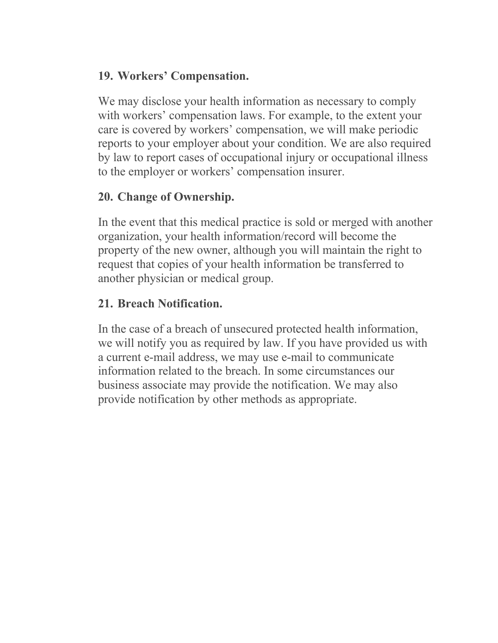#### **19. Workers' Compensation.**

We may disclose your health information as necessary to comply with workers' compensation laws. For example, to the extent your care is covered by workers' compensation, we will make periodic reports to your employer about your condition. We are also required by law to report cases of occupational injury or occupational illness to the employer or workers' compensation insurer.

### **20. Change of Ownership.**

In the event that this medical practice is sold or merged with another organization, your health information/record will become the property of the new owner, although you will maintain the right to request that copies of your health information be transferred to another physician or medical group.

### **21. Breach Notification.**

In the case of a breach of unsecured protected health information, we will notify you as required by law. If you have provided us with a current e-mail address, we may use e-mail to communicate information related to the breach. In some circumstances our business associate may provide the notification. We may also provide notification by other methods as appropriate.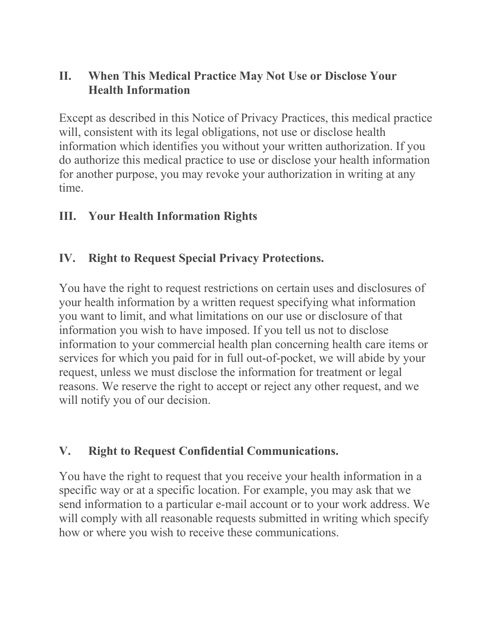### **II. When This Medical Practice May Not Use or Disclose Your Health Information**

Except as described in this Notice of Privacy Practices, this medical practice will, consistent with its legal obligations, not use or disclose health information which identifies you without your written authorization. If you do authorize this medical practice to use or disclose your health information for another purpose, you may revoke your authorization in writing at any time.

### **III. Your Health Information Rights**

### **IV. Right to Request Special Privacy Protections.**

You have the right to request restrictions on certain uses and disclosures of your health information by a written request specifying what information you want to limit, and what limitations on our use or disclosure of that information you wish to have imposed. If you tell us not to disclose information to your commercial health plan concerning health care items or services for which you paid for in full out-of-pocket, we will abide by your request, unless we must disclose the information for treatment or legal reasons. We reserve the right to accept or reject any other request, and we will notify you of our decision.

#### **V. Right to Request Confidential Communications.**

You have the right to request that you receive your health information in a specific way or at a specific location. For example, you may ask that we send information to a particular e-mail account or to your work address. We will comply with all reasonable requests submitted in writing which specify how or where you wish to receive these communications.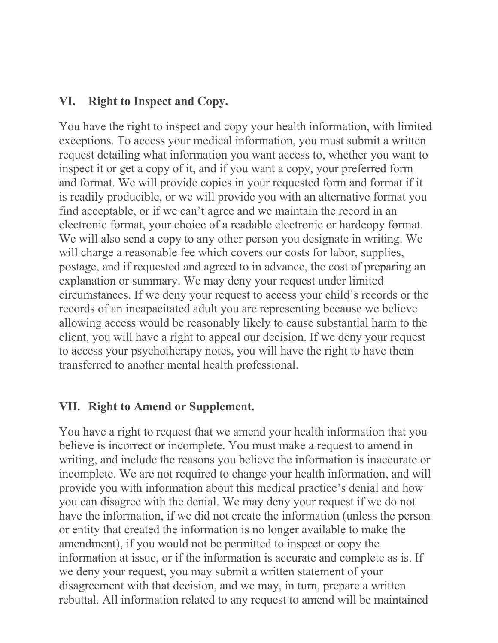#### **VI. Right to Inspect and Copy.**

You have the right to inspect and copy your health information, with limited exceptions. To access your medical information, you must submit a written request detailing what information you want access to, whether you want to inspect it or get a copy of it, and if you want a copy, your preferred form and format. We will provide copies in your requested form and format if it is readily producible, or we will provide you with an alternative format you find acceptable, or if we can't agree and we maintain the record in an electronic format, your choice of a readable electronic or hardcopy format. We will also send a copy to any other person you designate in writing. We will charge a reasonable fee which covers our costs for labor, supplies, postage, and if requested and agreed to in advance, the cost of preparing an explanation or summary. We may deny your request under limited circumstances. If we deny your request to access your child's records or the records of an incapacitated adult you are representing because we believe allowing access would be reasonably likely to cause substantial harm to the client, you will have a right to appeal our decision. If we deny your request to access your psychotherapy notes, you will have the right to have them transferred to another mental health professional.

#### **VII. Right to Amend or Supplement.**

You have a right to request that we amend your health information that you believe is incorrect or incomplete. You must make a request to amend in writing, and include the reasons you believe the information is inaccurate or incomplete. We are not required to change your health information, and will provide you with information about this medical practice's denial and how you can disagree with the denial. We may deny your request if we do not have the information, if we did not create the information (unless the person or entity that created the information is no longer available to make the amendment), if you would not be permitted to inspect or copy the information at issue, or if the information is accurate and complete as is. If we deny your request, you may submit a written statement of your disagreement with that decision, and we may, in turn, prepare a written rebuttal. All information related to any request to amend will be maintained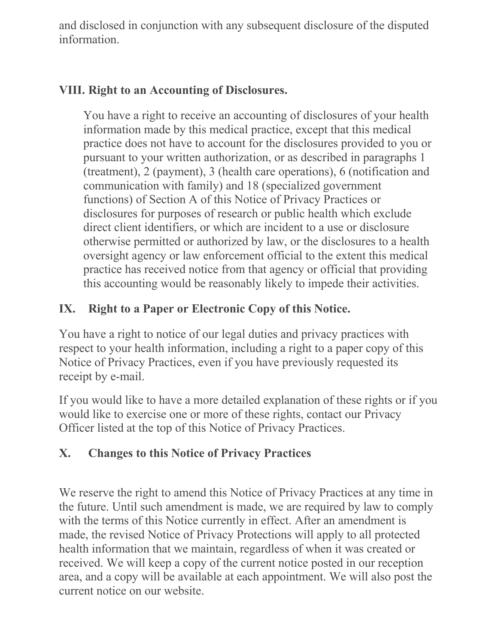and disclosed in conjunction with any subsequent disclosure of the disputed information.

### **VIII. Right to an Accounting of Disclosures.**

You have a right to receive an accounting of disclosures of your health information made by this medical practice, except that this medical practice does not have to account for the disclosures provided to you or pursuant to your written authorization, or as described in paragraphs 1 (treatment), 2 (payment), 3 (health care operations), 6 (notification and communication with family) and 18 (specialized government functions) of Section A of this Notice of Privacy Practices or disclosures for purposes of research or public health which exclude direct client identifiers, or which are incident to a use or disclosure otherwise permitted or authorized by law, or the disclosures to a health oversight agency or law enforcement official to the extent this medical practice has received notice from that agency or official that providing this accounting would be reasonably likely to impede their activities.

### **IX. Right to a Paper or Electronic Copy of this Notice.**

You have a right to notice of our legal duties and privacy practices with respect to your health information, including a right to a paper copy of this Notice of Privacy Practices, even if you have previously requested its receipt by e-mail.

If you would like to have a more detailed explanation of these rights or if you would like to exercise one or more of these rights, contact our Privacy Officer listed at the top of this Notice of Privacy Practices.

### **X. Changes to this Notice of Privacy Practices**

We reserve the right to amend this Notice of Privacy Practices at any time in the future. Until such amendment is made, we are required by law to comply with the terms of this Notice currently in effect. After an amendment is made, the revised Notice of Privacy Protections will apply to all protected health information that we maintain, regardless of when it was created or received. We will keep a copy of the current notice posted in our reception area, and a copy will be available at each appointment. We will also post the current notice on our website.